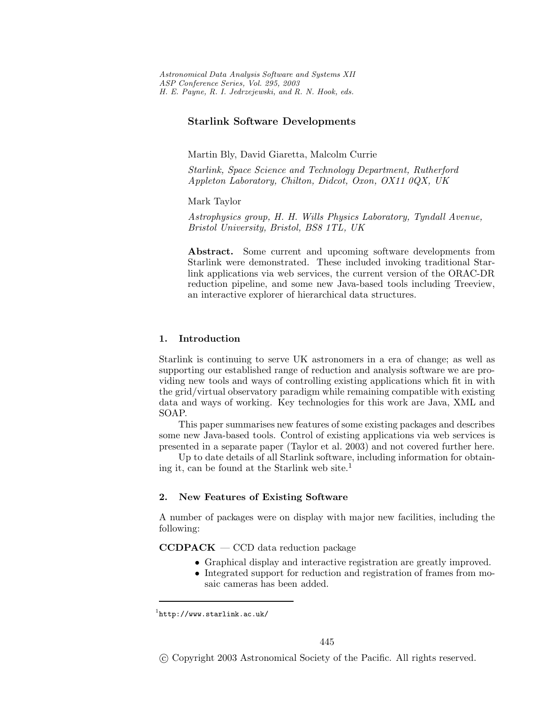*Astronomical Data Analysis Software and Systems XII ASP Conference Series, Vol. 295, 2003 H. E. Payne, R. I. Jedrzejewski, and R. N. Hook, eds.*

# **Starlink Software Developments**

Martin Bly, David Giaretta, Malcolm Currie

*Starlink, Space Science and Technology Department, Rutherford Appleton Laboratory, Chilton, Didcot, Oxon, OX11 0QX, UK*

Mark Taylor

*Astrophysics group, H. H. Wills Physics Laboratory, Tyndall Avenue, Bristol University, Bristol, BS8 1TL, UK*

**Abstract.** Some current and upcoming software developments from Starlink were demonstrated. These included invoking traditional Starlink applications via web services, the current version of the ORAC-DR reduction pipeline, and some new Java-based tools including Treeview, an interactive explorer of hierarchical data structures.

### **1. Introduction**

Starlink is continuing to serve UK astronomers in a era of change; as well as supporting our established range of reduction and analysis software we are providing new tools and ways of controlling existing applications which fit in with the grid/virtual observatory paradigm while remaining compatible with existing data and ways of working. Key technologies for this work are Java, XML and SOAP.

This paper summarises new features of some existing packages and describes some new Java-based tools. Control of existing applications via web services is presented in a separate paper (Taylor et al. 2003) and not covered further here.

Up to date details of all Starlink software, including information for obtaining it, can be found at the Starlink web site.<sup>1</sup>

## **2. New Features of Existing Software**

A number of packages were on display with major new facilities, including the following:

**CCDPACK** — CCD data reduction package

- Graphical display and interactive registration are greatly improved.
- Integrated support for reduction and registration of frames from mosaic cameras has been added.

 $1$ http://www.starlink.ac.uk/

<sup>-</sup>c Copyright 2003 Astronomical Society of the Pacific. All rights reserved.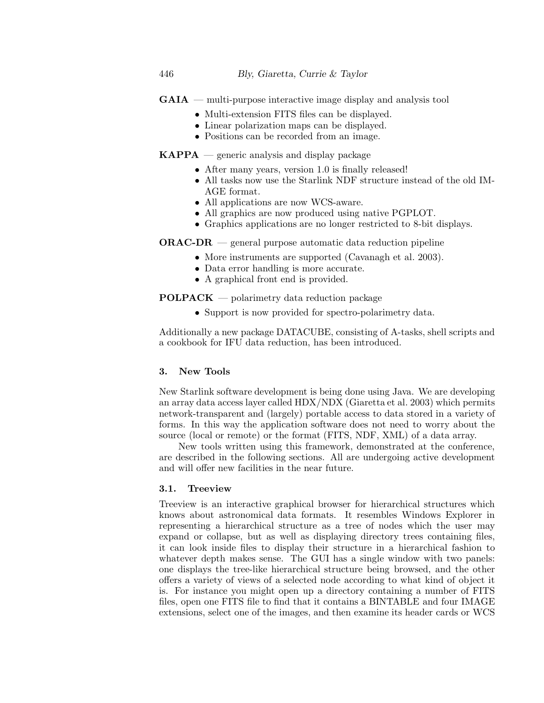- **GAIA** multi-purpose interactive image display and analysis tool
	- Multi-extension FITS files can be displayed.
	- Linear polarization maps can be displayed.
	- Positions can be recorded from an image.
- **KAPPA** generic analysis and display package
	- After many years, version 1.0 is finally released!
	- All tasks now use the Starlink NDF structure instead of the old IM-AGE format.
	- All applications are now WCS-aware.
	- All graphics are now produced using native PGPLOT.
	- Graphics applications are no longer restricted to 8-bit displays.

**ORAC-DR** — general purpose automatic data reduction pipeline

- More instruments are supported (Cavanagh et al. 2003).
- Data error handling is more accurate.
- A graphical front end is provided.

**POLPACK** — polarimetry data reduction package

• Support is now provided for spectro-polarimetry data.

Additionally a new package DATACUBE, consisting of A-tasks, shell scripts and a cookbook for IFU data reduction, has been introduced.

# **3. New Tools**

New Starlink software development is being done using Java. We are developing an array data access layer called HDX/NDX (Giaretta et al. 2003) which permits network-transparent and (largely) portable access to data stored in a variety of forms. In this way the application software does not need to worry about the source (local or remote) or the format (FITS, NDF, XML) of a data array.

New tools written using this framework, demonstrated at the conference, are described in the following sections. All are undergoing active development and will offer new facilities in the near future.

## **3.1. Treeview**

Treeview is an interactive graphical browser for hierarchical structures which knows about astronomical data formats. It resembles Windows Explorer in representing a hierarchical structure as a tree of nodes which the user may expand or collapse, but as well as displaying directory trees containing files, it can look inside files to display their structure in a hierarchical fashion to whatever depth makes sense. The GUI has a single window with two panels: one displays the tree-like hierarchical structure being browsed, and the other offers a variety of views of a selected node according to what kind of object it is. For instance you might open up a directory containing a number of FITS files, open one FITS file to find that it contains a BINTABLE and four IMAGE extensions, select one of the images, and then examine its header cards or WCS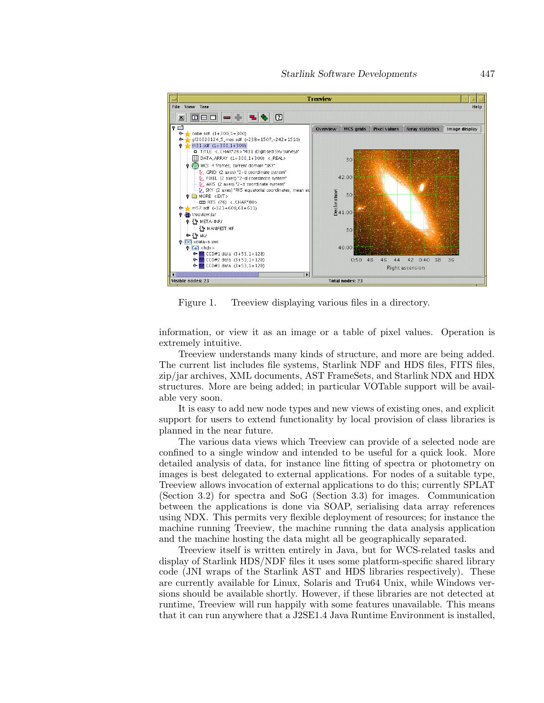

Figure 1. Treeview displaying various files in a directory.

information, or view it as an image or a table of pixel values. Operation is extremely intuitive.

Treeview understands many kinds of structure, and more are being added. The current list includes file systems, Starlink NDF and HDS files, FITS files, zip/jar archives, XML documents, AST FrameSets, and Starlink NDX and HDX structures. More are being added; in particular VOTable support will be available very soon.

It is easy to add new node types and new views of existing ones, and explicit support for users to extend functionality by local provision of class libraries is planned in the near future.

The various data views which Treeview can provide of a selected node are confined to a single window and intended to be useful for a quick look. More detailed analysis of data, for instance line fitting of spectra or photometry on images is best delegated to external applications. For nodes of a suitable type, Treeview allows invocation of external applications to do this; currently SPLAT (Section 3.2) for spectra and SoG (Section 3.3) for images. Communication between the applications is done via SOAP, serialising data array references using NDX. This permits very flexible deployment of resources; for instance the machine running Treeview, the machine running the data analysis application and the machine hosting the data might all be geographically separated.

Treeview itself is written entirely in Java, but for WCS-related tasks and display of Starlink HDS/NDF files it uses some platform-specific shared library code (JNI wraps of the Starlink AST and HDS libraries respectively). These are currently available for Linux, Solaris and Tru64 Unix, while Windows versions should be available shortly. However, if these libraries are not detected at runtime, Treeview will run happily with some features unavailable. This means that it can run anywhere that a J2SE1.4 Java Runtime Environment is installed,